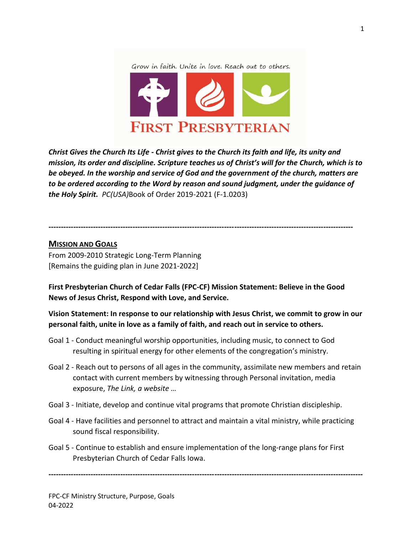Grow in faith. Unite in love. Reach out to others.



*Christ Gives the Church Its Life - Christ gives to the Church its faith and life, its unity and mission, its order and discipline. Scripture teaches us of Christ's will for the Church, which is to be obeyed. In the worship and service of God and the government of the church, matters are to be ordered according to the Word by reason and sound judgment, under the guidance of the Holy Spirit. PC(USA)*Book of Order 2019-2021 (F-1.0203)

**---------------------------------------------------------------------------------------------------------------------------**

### **MISSION AND GOALS**

From 2009-2010 Strategic Long-Term Planning [Remains the guiding plan in June 2021-2022]

**First Presbyterian Church of Cedar Falls (FPC-CF) Mission Statement: Believe in the Good News of Jesus Christ, Respond with Love, and Service.**

**Vision Statement: In response to our relationship with Jesus Christ, we commit to grow in our personal faith, unite in love as a family of faith, and reach out in service to others.**

- Goal 1 Conduct meaningful worship opportunities, including music, to connect to God resulting in spiritual energy for other elements of the congregation's ministry.
- Goal 2 Reach out to persons of all ages in the community, assimilate new members and retain contact with current members by witnessing through Personal invitation, media exposure, *The Link, a website …*
- Goal 3 Initiate, develop and continue vital programs that promote Christian discipleship.
- Goal 4 Have facilities and personnel to attract and maintain a vital ministry, while practicing sound fiscal responsibility.
- Goal 5 Continue to establish and ensure implementation of the long-range plans for First Presbyterian Church of Cedar Falls Iowa.

**-------------------------------------------------------------------------------------------------------------------------------**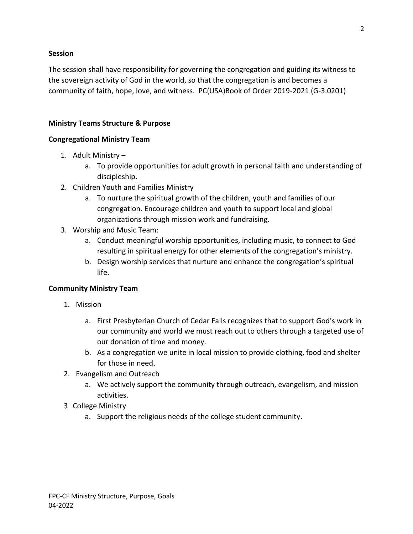#### **Session**

The session shall have responsibility for governing the congregation and guiding its witness to the sovereign activity of God in the world, so that the congregation is and becomes a community of faith, hope, love, and witness. PC(USA)Book of Order 2019-2021 (G-3.0201)

### **Ministry Teams Structure & Purpose**

### **Congregational Ministry Team**

- 1. Adult Ministry
	- a. To provide opportunities for adult growth in personal faith and understanding of discipleship.
- 2. Children Youth and Families Ministry
	- a. To nurture the spiritual growth of the children, youth and families of our congregation. Encourage children and youth to support local and global organizations through mission work and fundraising.
- 3. Worship and Music Team:
	- a. Conduct meaningful worship opportunities, including music, to connect to God resulting in spiritual energy for other elements of the congregation's ministry.
	- b. Design worship services that nurture and enhance the congregation's spiritual life.

## **Community Ministry Team**

- 1. Mission
	- a. First Presbyterian Church of Cedar Falls recognizes that to support God's work in our community and world we must reach out to others through a targeted use of our donation of time and money.
	- b. As a congregation we unite in local mission to provide clothing, food and shelter for those in need.
- 2. Evangelism and Outreach
	- a. We actively support the community through outreach, evangelism, and mission activities.
- 3 College Ministry
	- a. Support the religious needs of the college student community.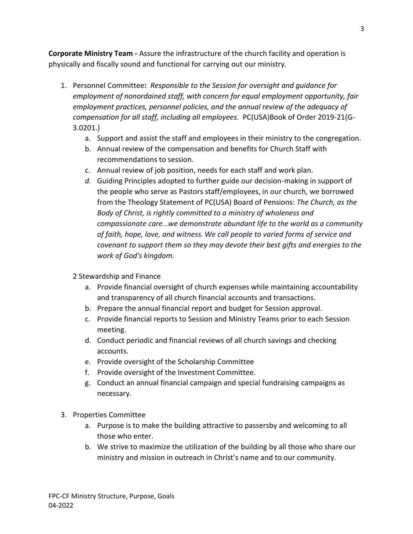**Corporate Ministry Team -** Assure the infrastructure of the church facility and operation is physically and fiscally sound and functional for carrying out our ministry.

- 1. Personnel Committee**:** *Responsible to the Session for oversight and guidance for employment of nonordained staff, with concern for equal employment opportunity, fair employment practices, personnel policies, and the annual review of the adequacy of compensation for all staff, including all employees.* PC(USA)Book of Order 2019-21(G-3.0201.)
	- a. Support and assist the staff and employees in their ministry to the congregation.
	- b. Annual review of the compensation and benefits for Church Staff with recommendations to session.
	- c. Annual review of job position, needs for each staff and work plan.
	- *d.* Guiding Principles adopted to further guide our decision-making in support of the people who serve as Pastors staff/employees, in our church, we borrowed from the Theology Statement of PC(USA) Board of Pensions: *The Church, as the Body of Christ, is rightly committed to a ministry of wholeness and compassionate care…we demonstrate abundant life to the world as a community of faith, hope, love, and witness. We call people to varied forms of service and covenant to support them so they may devote their best gifts and energies to the work of God's kingdom.*
	- 2 Stewardship and Finance
		- a. Provide financial oversight of church expenses while maintaining accountability and transparency of all church financial accounts and transactions.
		- b. Prepare the annual financial report and budget for Session approval.
		- c. Provide financial reports to Session and Ministry Teams prior to each Session meeting.
		- d. Conduct periodic and financial reviews of all church savings and checking accounts.
		- e. Provide oversight of the Scholarship Committee
		- f. Provide oversight of the Investment Committee.
		- g. Conduct an annual financial campaign and special fundraising campaigns as necessary.
- 3. Properties Committee
	- a. Purpose is to make the building attractive to passersby and welcoming to all those who enter.
	- b. We strive to maximize the utilization of the building by all those who share our ministry and mission in outreach in Christ's name and to our community.